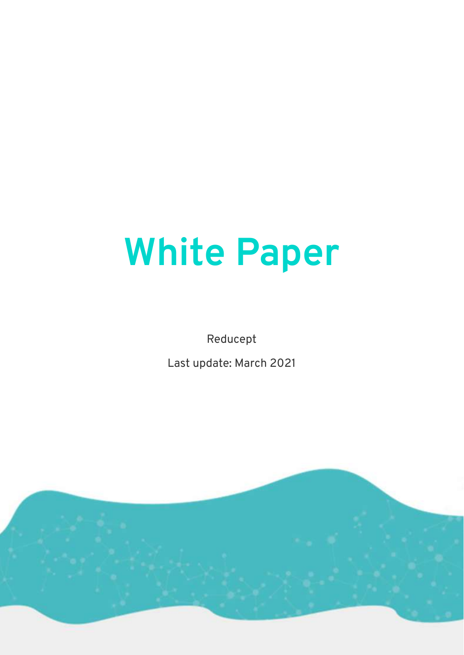# **White Paper**

Reducept

Last update: March 2021

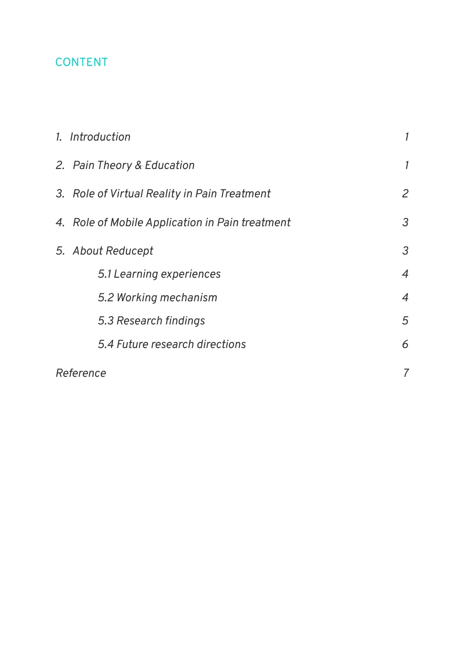## CONTENT

|  | 1. Introduction                                 |                |
|--|-------------------------------------------------|----------------|
|  | 2. Pain Theory & Education                      | 1              |
|  | 3. Role of Virtual Reality in Pain Treatment    | $\overline{2}$ |
|  | 4. Role of Mobile Application in Pain treatment | 3              |
|  | 5. About Reducept                               | $\mathfrak{Z}$ |
|  | 5.1 Learning experiences                        | $\overline{4}$ |
|  | 5.2 Working mechanism                           | $\overline{4}$ |
|  | 5.3 Research findings                           | 5              |
|  | 5.4 Future research directions                  | 6              |
|  | Reference                                       | 7              |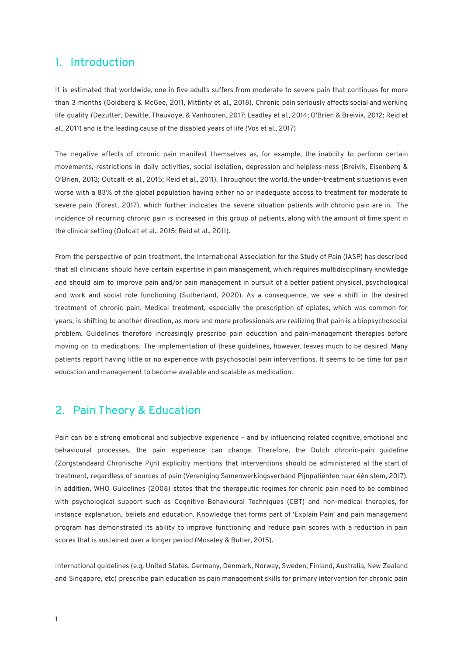#### <span id="page-2-0"></span>1. Introduction

It is estimated that worldwide, one in five adults suffers from moderate to severe pain that continues for more than 3 months (Goldberg & McGee, 2011, Mittinty et al., 2018). Chronic pain seriously affects social and working life quality (Dezutter, Dewitte, Thauvoye, & Vanhooren, 2017; Leadley et al., 2014; O'Brien & Breivik, 2012; Reid et al., 2011) and is the leading cause of the disabled years of life (Vos et al., 2017)

The negative effects of chronic pain manifest themselves as, for example, the inability to perform certain movements, restrictions in daily activities, social isolation, depression and helpless-ness (Breivik, Eisenberg & O'Brien, 2013; Outcalt et al., 2015; Reid et al., 2011). Throughout the world, the under-treatment situation is even worse with a 83% of the global population having either no or inadequate access to treatment for moderate to severe pain (Forest, 2017), which further indicates the severe situation patients with chronic pain are in. The incidence of recurring chronic pain is increased in this group of patients, along with the amount of time spent in the clinical setting (Outcalt et al., 2015; Reid et al., 2011).

From the perspective of pain treatment, the International Association for the Study of Pain (IASP) has described that all clinicians should have certain expertise in pain management, which requires multidisciplinary knowledge and should aim to improve pain and/or pain management in pursuit of a better patient physical, psychological and work and social role functioning (Sutherland, 2020). As a consequence, we see a shift in the desired treatment of chronic pain. Medical treatment, especially the prescription of opiates, which was common for years, is shifting to another direction, as more and more professionals are realizing that pain is a biopsychosocial problem. Guidelines therefore increasingly prescribe pain education and pain-management therapies before moving on to medications. The implementation of these guidelines, however, leaves much to be desired. Many patients report having little or no experience with psychosocial pain interventions. It seems to be time for pain education and management to become available and scalable as medication.

## <span id="page-2-1"></span>2. Pain Theory & Education

Pain can be a strong emotional and subjective experience – and by influencing related cognitive, emotional and behavioural processes, the pain experience can change. Therefore, the Dutch chronic-pain guideline (Zorgstandaard Chronische Pijn) explicitly mentions that interventions should be administered at the start of treatment, regardless of sources of pain (Vereniging Samenwerkingsverband Pijnpatiënten naar één stem, 2017). In addition, WHO Guidelines (2008) states that the therapeutic regimes for chronic pain need to be combined with psychological support such as Cognitive Behavioural Techniques (CBT) and non-medical therapies, for instance explanation, beliefs and education. Knowledge that forms part of 'Explain Pain' and pain management program has demonstrated its ability to improve functioning and reduce pain scores with a reduction in pain scores that is sustained over a longer period (Moseley & Butler, 2015).

International guidelines (e.g. United States, Germany, Denmark, Norway, Sweden, Finland, Australia, New Zealand and Singapore, etc) prescribe pain education as pain management skills for primary intervention for chronic pain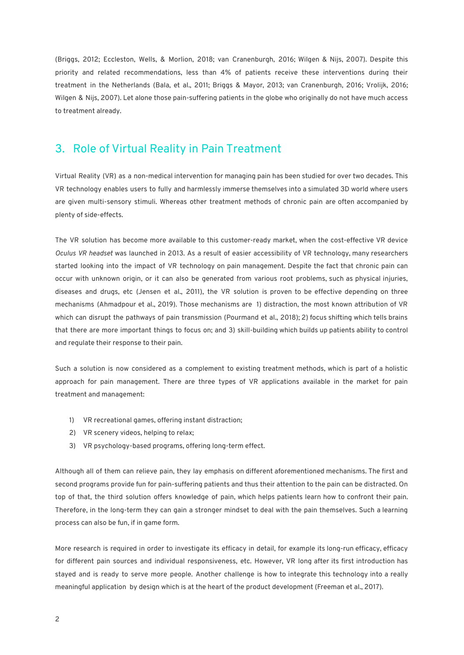(Briggs, 2012; Eccleston, Wells, & Morlion, 2018; van Cranenburgh, 2016; Wilgen & Nijs, 2007). Despite this priority and related recommendations, less than 4% of patients receive these interventions during their treatment in the Netherlands (Bala, et al., 2011; Briggs & Mayor, 2013; van Cranenburgh, 2016; Vrolijk, 2016; Wilgen & Nijs, 2007). Let alone those pain-suffering patients in the globe who originally do not have much access to treatment already.

## <span id="page-3-0"></span>3. Role of Virtual Reality in Pain Treatment

Virtual Reality (VR) as a non-medical intervention for managing pain has been studied for over two decades. This VR technology enables users to fully and harmlessly immerse themselves into a simulated 3D world where users are given multi-sensory stimuli. Whereas other treatment methods of chronic pain are often accompanied by plenty of side-effects.

The VR solution has become more available to this customer-ready market, when the cost-effective VR device *Oculus VR headset* was launched in 2013. As a result of easier accessibility of VR technology, many researchers started looking into the impact of VR technology on pain management. Despite the fact that chronic pain can occur with unknown origin, or it can also be generated from various root problems, such as physical injuries, diseases and drugs, etc (Jensen et al., 2011), the VR solution is proven to be effective depending on three mechanisms (Ahmadpour et al., 2019). Those mechanisms are 1) distraction, the most known attribution of VR which can disrupt the pathways of pain transmission (Pourmand et al., 2018); 2) focus shifting which tells brains that there are more important things to focus on; and 3) skill-building which builds up patients ability to control and regulate their response to their pain.

Such a solution is now considered as a complement to existing treatment methods, which is part of a holistic approach for pain management. There are three types of VR applications available in the market for pain treatment and management:

- 1) VR recreational games, offering instant distraction;
- 2) VR scenery videos, helping to relax;
- 3) VR psychology-based programs, offering long-term effect.

Although all of them can relieve pain, they lay emphasis on different aforementioned mechanisms. The first and second programs provide fun for pain-suffering patients and thus their attention to the pain can be distracted. On top of that, the third solution offers knowledge of pain, which helps patients learn how to confront their pain. Therefore, in the long-term they can gain a stronger mindset to deal with the pain themselves. Such a learning process can also be fun, if in game form.

More research is required in order to investigate its efficacy in detail, for example its long-run efficacy, efficacy for different pain sources and individual responsiveness, etc. However, VR long after its first introduction has stayed and is ready to serve more people. Another challenge is how to integrate this technology into a really meaningful application by design which is at the heart of the product development (Freeman et al., 2017).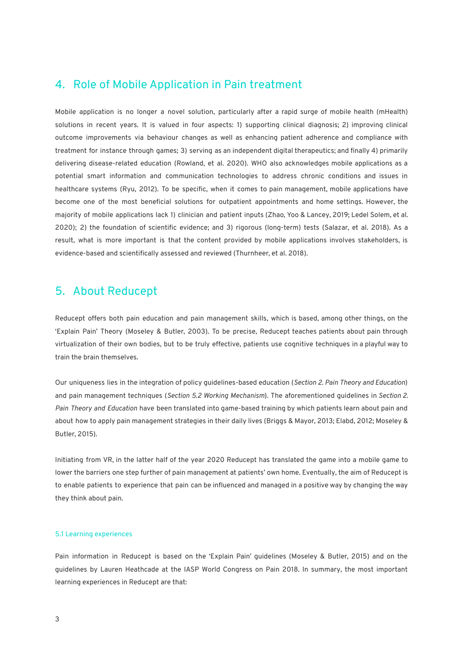#### <span id="page-4-0"></span>4. Role of Mobile Application in Pain treatment

Mobile application is no longer a novel solution, particularly after a rapid surge of mobile health (mHealth) solutions in recent years. It is valued in four aspects: 1) supporting clinical diagnosis; 2) improving clinical outcome improvements via behaviour changes as well as enhancing patient adherence and compliance with treatment for instance through games; 3) serving as an independent digital therapeutics; and finally 4) primarily delivering disease-related education (Rowland, et al. 2020). WHO also acknowledges mobile applications as a potential smart information and communication technologies to address chronic conditions and issues in healthcare systems (Ryu, 2012). To be specific, when it comes to pain management, mobile applications have become one of the most beneficial solutions for outpatient appointments and home settings. However, the majority of mobile applications lack 1) clinician and patient inputs (Zhao, Yoo & Lancey, 2019; Ledel Solem, et al. 2020); 2) the foundation of scientific evidence; and 3) rigorous (long-term) tests (Salazar, et al. 2018). As a result, what is more important is that the content provided by mobile applications involves stakeholders, is evidence-based and scientifically assessed and reviewed (Thurnheer, et al. 2018).

### <span id="page-4-1"></span>5. About Reducept

Reducept offers both pain education and pain management skills, which is based, among other things, on the 'Explain Pain' Theory (Moseley & Butler, 2003). To be precise, Reducept teaches patients about pain through virtualization of their own bodies, but to be truly effective, patients use cognitive techniques in a playful way to train the brain themselves.

Our uniqueness lies in the integration of policy guidelines-based education (*Section 2. Pain Theory and [Education](#page-2-1)*) and pain management techniques (*Section 5.2 Working [Mechanism](#page-5-0)*). The aforementioned guidelines in *[Section](#page-2-1) 2. Pain Theory and [Education](#page-2-1)* have been translated into game-based training by which patients learn about pain and about how to apply pain management strategies in their daily lives (Briggs & Mayor, 2013; Elabd, 2012; Moseley & Butler, 2015).

Initiating from VR, in the latter half of the year 2020 Reducept has translated the game into a mobile game to lower the barriers one step further of pain management at patients' own home. Eventually, the aim of Reducept is to enable patients to experience that pain can be influenced and managed in a positive way by changing the way they think about pain.

#### <span id="page-4-2"></span>5.1 Learning experiences

Pain information in Reducept is based on the 'Explain Pain' guidelines (Moseley & Butler, 2015) and on the guidelines by Lauren Heathcade at the IASP World Congress on Pain 2018. In summary, the most important learning experiences in Reducept are that: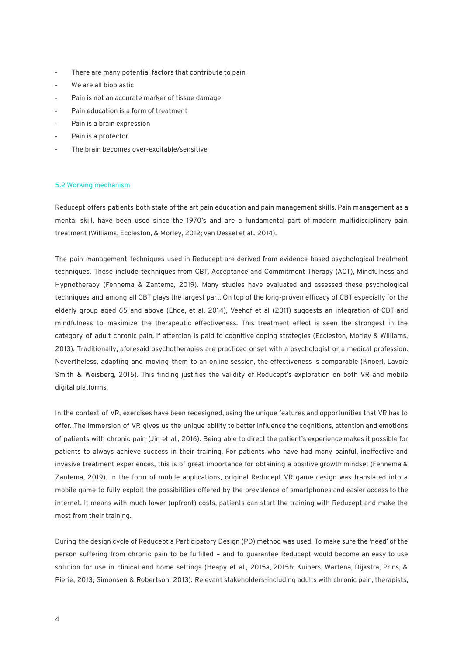- There are many potential factors that contribute to pain
- We are all bioplastic
- Pain is not an accurate marker of tissue damage
- Pain education is a form of treatment
- Pain is a brain expression
- Pain is a protector
- The brain becomes over-excitable/sensitive

#### <span id="page-5-0"></span>5.2 Working mechanism

Reducept offers patients both state of the art pain education and pain management skills. Pain management as a mental skill, have been used since the 1970's and are a fundamental part of modern multidisciplinary pain treatment (Williams, Eccleston, & Morley, 2012; van Dessel et al., 2014).

The pain management techniques used in Reducept are derived from evidence-based psychological treatment techniques. These include techniques from CBT, Acceptance and Commitment Therapy (ACT), Mindfulness and Hypnotherapy (Fennema & Zantema, 2019). Many studies have evaluated and assessed these psychological techniques and among all CBT plays the largest part. On top of the long-proven efficacy of CBT especially for the elderly group aged 65 and above (Ehde, et al. 2014), Veehof et al (2011) suggests an integration of CBT and mindfulness to maximize the therapeutic effectiveness. This treatment effect is seen the strongest in the category of adult chronic pain, if attention is paid to cognitive coping strategies (Eccleston, Morley & Williams, 2013). Traditionally, aforesaid psychotherapies are practiced onset with a psychologist or a medical profession. Nevertheless, adapting and moving them to an online session, the effectiveness is comparable (Knoerl, Lavoie Smith & Weisberg, 2015). This finding justifies the validity of Reducept's exploration on both VR and mobile digital platforms.

In the context of VR, exercises have been redesigned, using the unique features and opportunities that VR has to offer. The immersion of VR gives us the unique ability to better influence the cognitions, attention and emotions of patients with chronic pain (Jin et al., 2016). Being able to direct the patient's experience makes it possible for patients to always achieve success in their training. For patients who have had many painful, ineffective and invasive treatment experiences, this is of great importance for obtaining a positive growth mindset (Fennema & Zantema, 2019). In the form of mobile applications, original Reducept VR game design was translated into a mobile game to fully exploit the possibilities offered by the prevalence of smartphones and easier access to the internet. It means with much lower (upfront) costs, patients can start the training with Reducept and make the most from their training.

During the design cycle of Reducept a Participatory Design (PD) method was used. To make sure the 'need' of the person suffering from chronic pain to be fulfilled – and to guarantee Reducept would become an easy to use solution for use in clinical and home settings (Heapy et al., 2015a, 2015b; Kuipers, Wartena, Dijkstra, Prins, & Pierie, 2013; Simonsen & Robertson, 2013). Relevant stakeholders-including adults with chronic pain, therapists,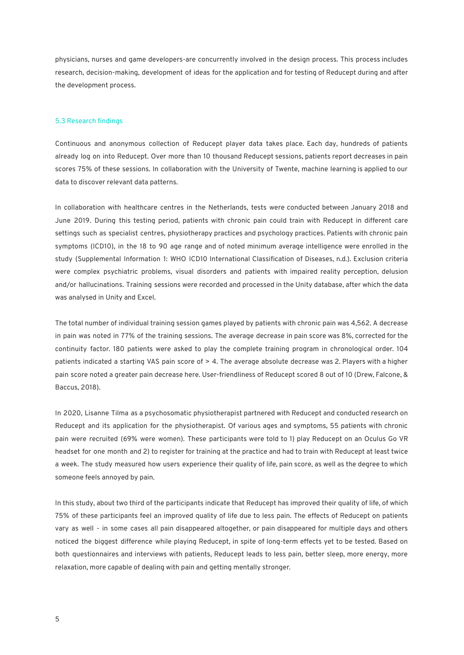physicians, nurses and game developers-are concurrently involved in the design process. This process includes research, decision-making, development of ideas for the application and for testing of Reducept during and after the development process.

#### <span id="page-6-0"></span>5.3 Research findings

Continuous and anonymous collection of Reducept player data takes place. Each day, hundreds of patients already log on into Reducept. Over more than 10 thousand Reducept sessions, patients report decreases in pain scores 75% of these sessions. In collaboration with the University of Twente, machine learning is applied to our data to discover relevant data patterns.

In collaboration with healthcare centres in the Netherlands, tests were conducted between January 2018 and June 2019. During this testing period, patients with chronic pain could train with Reducept in different care settings such as specialist centres, physiotherapy practices and psychology practices. Patients with chronic pain symptoms (ICD10), in the 18 to 90 age range and of noted minimum average intelligence were enrolled in the study (Supplemental Information 1: WHO ICD10 International Classification of Diseases, n.d.). Exclusion criteria were complex psychiatric problems, visual disorders and patients with impaired reality perception, delusion and/or hallucinations. Training sessions were recorded and processed in the Unity database, after which the data was analysed in Unity and Excel.

The total number of individual training session games played by patients with chronic pain was 4,562. A decrease in pain was noted in 77% of the training sessions. The average decrease in pain score was 8%, corrected for the continuity factor. 180 patients were asked to play the complete training program in chronological order. 104 patients indicated a starting VAS pain score of > 4. The average absolute decrease was 2. Players with a higher pain score noted a greater pain decrease here. User-friendliness of Reducept scored 8 out of 10 (Drew, Falcone, & Baccus, 2018).

In 2020, Lisanne Tilma as a psychosomatic physiotherapist partnered with Reducept and conducted research on Reducept and its application for the physiotherapist. Of various ages and symptoms, 55 patients with chronic pain were recruited (69% were women). These participants were told to 1) play Reducept on an Oculus Go VR headset for one month and 2) to register for training at the practice and had to train with Reducept at least twice a week. The study measured how users experience their quality of life, pain score, as well as the degree to which someone feels annoyed by pain.

In this study, about two third of the participants indicate that Reducept has improved their quality of life, of which 75% of these participants feel an improved quality of life due to less pain. The effects of Reducept on patients vary as well - in some cases all pain disappeared altogether, or pain disappeared for multiple days and others noticed the biggest difference while playing Reducept, in spite of long-term effects yet to be tested. Based on both questionnaires and interviews with patients, Reducept leads to less pain, better sleep, more energy, more relaxation, more capable of dealing with pain and getting mentally stronger.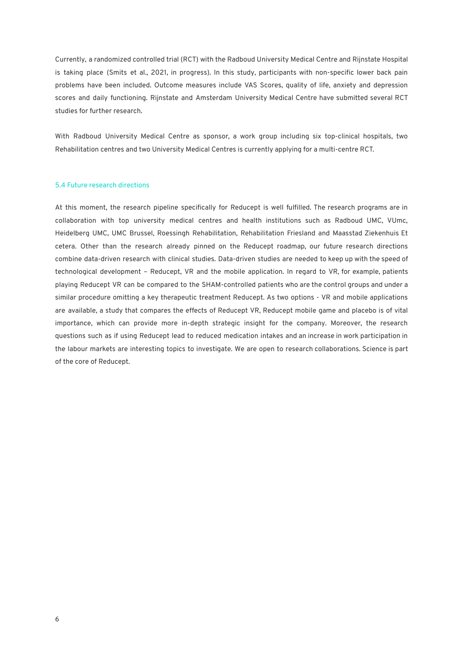Currently, a randomized controlled trial (RCT) with the Radboud University Medical Centre and Rijnstate Hospital is taking place (Smits et al., 2021, in progress). In this study, participants with non-specific lower back pain problems have been included. Outcome measures include VAS Scores, quality of life, anxiety and depression scores and daily functioning. Rijnstate and Amsterdam University Medical Centre have submitted several RCT studies for further research.

With Radboud University Medical Centre as sponsor, a work group including six top-clinical hospitals, two Rehabilitation centres and two University Medical Centres is currently applying for a multi-centre RCT.

#### <span id="page-7-0"></span>5.4 Future research directions

At this moment, the research pipeline specifically for Reducept is well fulfilled. The research programs are in collaboration with top university medical centres and health institutions such as Radboud UMC, VUmc, Heidelberg UMC, UMC Brussel, Roessingh Rehabilitation, Rehabilitation Friesland and Maasstad Ziekenhuis Et cetera. Other than the research already pinned on the Reducept roadmap, our future research directions combine data-driven research with clinical studies. Data-driven studies are needed to keep up with the speed of technological development – Reducept, VR and the mobile application. In regard to VR, for example, patients playing Reducept VR can be compared to the SHAM-controlled patients who are the control groups and under a similar procedure omitting a key therapeutic treatment Reducept. As two options - VR and mobile applications are available, a study that compares the effects of Reducept VR, Reducept mobile game and placebo is of vital importance, which can provide more in-depth strategic insight for the company. Moreover, the research questions such as if using Reducept lead to reduced medication intakes and an increase in work participation in the labour markets are interesting topics to investigate. We are open to research collaborations. Science is part of the core of Reducept.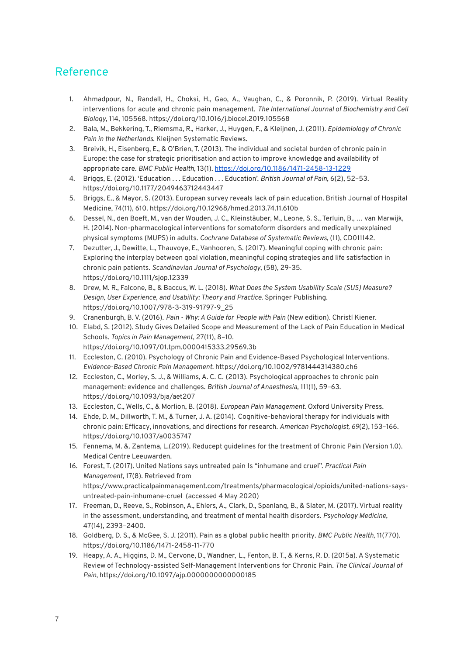## <span id="page-8-0"></span>Reference

- 1. Ahmadpour, N., Randall, H., Choksi, H., Gao, A., Vaughan, C., & Poronnik, P. (2019). Virtual Reality interventions for acute and chronic pain management. *The International Journal of Biochemistry and Cell Biology*, 114, 105568. <https://doi.org/10.1016/j.biocel.2019.105568>
- 2. Bala, M., Bekkering, T., Riemsma, R., Harker, J., Huygen, F., & Kleijnen, J. (2011). *Epidemiology of Chronic Pain in the Netherlands*. Kleijnen Systematic Reviews.
- 3. Breivik, H., Eisenberg, E., & O'Brien, T. (2013). The individual and societal burden of chronic pain in Europe: the case for strategic prioritisation and action to improve knowledge and availability of appropriate care. *BMC Public Health*, 13(1). <https://doi.org/10.1186/1471-2458-13-1229>
- 4. Briggs, E. (2012). 'Education . . . Education . . . Education'. *British Journal of Pain*, 6(2), 52–53. https://doi.org/10.1177/2049463712443447
- 5. Briggs, E., & Mayor, S. (2013). European survey reveals lack of pain education. British Journal of Hospital Medicine, 74(11), 610. https://doi.org/10.12968/hmed.2013.74.11.610b
- 6. Dessel, N., den Boeft, M., van der Wouden, J. C., Kleinstäuber, M., Leone, S. S., Terluin, B., … van Marwijk, H. (2014). Non-pharmacological interventions for somatoform disorders and medically unexplained physical symptoms (MUPS) in adults. *Cochrane Database of Systematic Reviews*, (11), CD011142.
- 7. Dezutter, J., Dewitte, L., Thauvoye, E., Vanhooren, S. (2017). Meaningful coping with chronic pain: Exploring the interplay between goal violation, meaningful coping strategies and life satisfaction in chronic pain patients. *Scandinavian Journal of Psychology*, (58), 29-35. https://doi.org/10.1111/sjop.12339
- 8. Drew, M. R., Falcone, B., & Baccus, W. L. (2018). *What Does the System Usability Scale (SUS) Measure? Design, User Experience, and Usability: Theory and Practice*. Springer Publishing. [https://doi.org/10.1007/978-3-319-91797-9\\_25](https://doi.org/10.1007/978-3-319-91797-9_25)
- 9. Cranenburgh, B. V. (2016). *Pain - Why: A Guide for People with Pain* (New edition). Christl Kiener.
- 10. Elabd, S. (2012). Study Gives Detailed Scope and Measurement of the Lack of Pain Education in Medical Schools. *Topics in Pain Management*, 27(11), 8–10. https://doi.org/10.1097/01.tpm.0000415333.29569.3b
- 11. Eccleston, C. (2010). Psychology of Chronic Pain and Evidence-Based Psychological Interventions. *Evidence-Based Chronic Pain Management*. <https://doi.org/10.1002/9781444314380.ch6>
- 12. Eccleston, C., Morley, S. J., & Williams, A. C. C. (2013). Psychological approaches to chronic pain management: evidence and challenges. *British Journal of Anaesthesia,* 111(1), 59–63. https://doi.org/10.1093/bja/aet207
- 13. Eccleston, C., Wells, C., & Morlion, B. (2018). *European Pain Management*. Oxford University Press.
- 14. Ehde, D. M., Dillworth, T. M., & Turner, J. A. (2014). Cognitive-behavioral therapy for individuals with chronic pain: Efficacy, innovations, and directions for research. *American Psychologist, 69*(2), 153–166. https://doi.org/10.1037/a0035747
- 15. Fennema, M. &. Zantema, L.(2019). Reducept guidelines for the treatment of Chronic Pain (Version 1.0). Medical Centre Leeuwarden.
- 16. Forest, T. (2017). United Nations says untreated pain Is "inhumane and cruel". *Practical Pain Management*, 17(8). Retrieved from [https://www.practicalpainmanagement.com/treatments/pharmacological/opioids/united-nations-says](https://www.practicalpainmanagement.com/treatments/pharmacological/opioids/united-nations-says-untreated-pain-inhumane-cruel)[untreated-pain-inhumane-cruel](https://www.practicalpainmanagement.com/treatments/pharmacological/opioids/united-nations-says-untreated-pain-inhumane-cruel) (accessed 4 May 2020)
- 17. Freeman, D., Reeve, S., Robinson, A., Ehlers, A., Clark, D., Spanlang, B., & Slater, M. (2017). Virtual reality in the assessment, understanding, and treatment of mental health disorders. *Psychology Medicine*, 47(14), 2393–2400.
- 18. Goldberg, D. S., & McGee, S. J. (2011). Pain as a global public health priority. *BMC Public Health*, 11(770). <https://doi.org/10.1186/1471-2458-11-770>
- 19. Heapy, A. A., Higgins, D. M., Cervone, D., Wandner, L., Fenton, B. T., & Kerns, R. D. (2015a). A Systematic Review of Technology-assisted Self-Management Interventions for Chronic Pain. *The Clinical Journal of Pain*, <https://doi.org/10.1097/ajp.0000000000000185>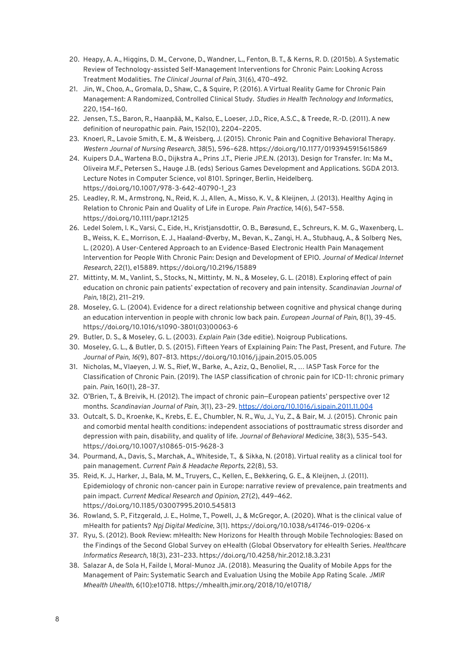- 20. Heapy, A. A., Higgins, D. M., Cervone, D., Wandner, L., Fenton, B. T., & Kerns, R. D. (2015b). A Systematic Review of Technology-assisted Self-Management Interventions for Chronic Pain: Looking Across Treatment Modalities. *The Clinical Journal of Pain*, 31(6), 470–492.
- 21. Jin, W., Choo, A., Gromala, D., Shaw, C., & Squire, P. (2016). AVirtual Reality Game for Chronic Pain Management: A Randomized, Controlled Clinical Study. *Studies in Health Technology and Informatics*, 220, 154–160.
- 22. Jensen, T.S., Baron, R., Haanpää, M., Kalso, E., Loeser, J.D., Rice, A.S.C., & Treede, R.-D. (2011). A new definition of neuropathic pain. *Pain*, 152(10), 2204–2205.
- 23. Knoerl, R., Lavoie Smith, E. M., & Weisberg, J. (2015). Chronic Pain and Cognitive Behavioral Therapy. *Western Journal of Nursing Research, 38*(5), 596–628. https://doi.org/10.1177/0193945915615869
- 24. Kuipers D.A., Wartena B.O., Dijkstra A., Prins J.T., Pierie JP.E.N. (2013). Design for Transfer. In: Ma M., Oliveira M.F., Petersen S., Hauge J.B. (eds) Serious Games Development and Applications. SGDA 2013. Lecture Notes in Computer Science, vol 8101. Springer, Berlin, Heidelberg. [https://doi.org/10.1007/978-3-642-40790-1\\_23](https://doi.org/10.1007/978-3-642-40790-1_23)
- 25. Leadley, R. M., Armstrong, N., Reid, K. J., Allen, A., Misso, K. V., & Kleijnen, J. (2013). Healthy Aging in Relation to Chronic Pain and Quality of Life in Europe. *Pain Practice*, 14(6), 547–558. https://doi.org/10.1111/papr.12125
- 26. Ledel Solem, I. K., Varsi, C., Eide, H., Kristjansdottir, O. B., Børøsund, E., Schreurs, K. M. G., Waxenberg, L. B., Weiss, K. E., Morrison, E. J., Haaland-Øverby, M., Bevan, K., Zangi, H. A., Stubhaug, A., & Solberg Nes, L. (2020). A User-Centered Approach to an Evidence-Based Electronic Health Pain Management Intervention for People With Chronic Pain: Design and Development of EPIO. *Journal of Medical Internet Research*, 22(1), e15889. <https://doi.org/10.2196/15889>
- 27. Mittinty, M. M., Vanlint, S., Stocks, N., Mittinty, M. N., & Moseley, G. L. (2018). Exploring effect of pain education on chronic pain patients' expectation of recovery and pain intensity. *Scandinavian Journal of Pain*, 18(2), 211–219.
- 28. Moseley, G. L. (2004). Evidence for a direct relationship between cognitive and physical change during an education intervention in people with chronic low back pain. *European Journal of Pain*, 8(1), 39-45. [https://doi.org/10.1016/s1090-3801\(03\)00063-6](https://doi.org/10.1016/s1090-3801(03)00063-6)
- 29. Butler, D. S., & Moseley, G. L. (2003). *Explain Pain* (3de editie). Noigroup Publications.
- 30. Moseley, G. L., & Butler, D. S. (2015). Fifteen Years of Explaining Pain: The Past, Present, and Future. *The Journal of Pain, 16*(9), 807–813. https://doi.org/10.1016/j.jpain.2015.05.005
- 31. Nicholas, M., Vlaeyen, J. W. S., Rief, W., Barke, A., Aziz, Q., Benoliel, R., … IASP Task Force for the Classification of Chronic Pain. (2019). The IASP classification of chronic pain for ICD-11: chronic primary pain. *Pain*, 160(1), 28–37.
- 32. O'Brien, T., & Breivik, H. (2012). The impact of chronic pain—European patients' perspective over 12 months. *Scandinavian Journal of Pain, 3*(1), 23–29. <https://doi.org/10.1016/j.sjpain.2011.11.004>
- 33. Outcalt, S. D., Kroenke, K., Krebs, E. E., Chumbler, N. R., Wu, J., Yu, Z., & Bair, M. J. (2015). Chronic pain and comorbid mental health conditions: independent associations of posttraumatic stress disorder and depression with pain, disability, and quality of life. *Journal of Behavioral Medicine*, 38(3), 535–543. https://doi.org/10.1007/s10865-015-9628-3
- 34. Pourmand, A., Davis, S., Marchak, A., Whiteside, T., & Sikka, N. (2018). Virtual reality as a clinical tool for pain management. *Current Pain & Headache Reports*, 22(8), 53.
- 35. Reid, K. J., Harker, J., Bala, M. M., Truyers, C., Kellen, E., Bekkering, G. E., & Kleijnen, J. (2011). Epidemiology of chronic non-cancer pain in Europe: narrative review of prevalence, pain treatments and pain impact. *Current Medical Research and Opinion*, 27(2), 449–462. https://doi.org/10.1185/03007995.2010.545813
- 36. Rowland, S. P., Fitzgerald, J. E., Holme, T., Powell, J., & McGregor, A. (2020). What is the clinical value of mHealth for patients? *Npj Digital Medicine*, 3(1). <https://doi.org/10.1038/s41746-019-0206-x>
- 37. Ryu, S. (2012). Book Review: mHealth: New Horizons for Health through Mobile Technologies: Based on the Findings of the Second Global Survey on eHealth (Global Observatory for eHealth Series. *Healthcare Informatics Research*, 18(3), 231–233. <https://doi.org/10.4258/hir.2012.18.3.231>
- 38. Salazar A, de Sola H, Failde I, Moral-Munoz JA. (2018). Measuring the Quality of Mobile Apps for the Management of Pain: Systematic Search and Evaluation Using the Mobile App Rating Scale. *JMIR Mhealth Uhealth*, 6(10):e10718. <https://mhealth.jmir.org/2018/10/e10718/>